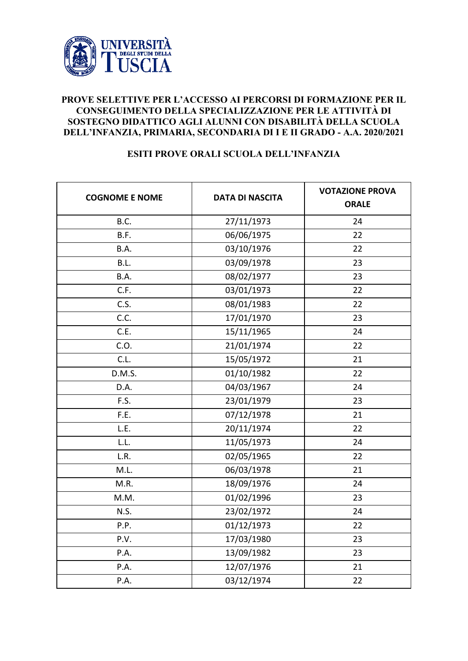

## **PROVE SELETTIVE PER L'ACCESSO AI PERCORSI DI FORMAZIONE PER IL CONSEGUIMENTO DELLA SPECIALIZZAZIONE PER LE ATTIVITÀ DI SOSTEGNO DIDATTICO AGLI ALUNNI CON DISABILITÀ DELLA SCUOLA DELL'INFANZIA, PRIMARIA, SECONDARIA DI I E II GRADO - A.A. 2020/2021**

## **ESITI PROVE ORALI SCUOLA DELL'INFANZIA**

| <b>COGNOME E NOME</b> | <b>DATA DI NASCITA</b> | <b>VOTAZIONE PROVA</b><br><b>ORALE</b> |
|-----------------------|------------------------|----------------------------------------|
| B.C.                  | 27/11/1973             | 24                                     |
| B.F.                  | 06/06/1975             | 22                                     |
| B.A.                  | 03/10/1976             | 22                                     |
| B.L.                  | 03/09/1978             | 23                                     |
| B.A.                  | 08/02/1977             | 23                                     |
| C.F.                  | 03/01/1973             | 22                                     |
| C.S.                  | 08/01/1983             | 22                                     |
| C.C.                  | 17/01/1970             | 23                                     |
| C.E.                  | 15/11/1965             | 24                                     |
| C.O.                  | 21/01/1974             | 22                                     |
| C.L.                  | 15/05/1972             | 21                                     |
| D.M.S.                | 01/10/1982             | 22                                     |
| D.A.                  | 04/03/1967             | 24                                     |
| F.S.                  | 23/01/1979             | 23                                     |
| F.E.                  | 07/12/1978             | 21                                     |
| L.E.                  | 20/11/1974             | 22                                     |
| L.L.                  | 11/05/1973             | 24                                     |
| L.R.                  | 02/05/1965             | 22                                     |
| M.L.                  | 06/03/1978             | 21                                     |
| M.R.                  | 18/09/1976             | 24                                     |
| M.M.                  | 01/02/1996             | 23                                     |
| N.S.                  | 23/02/1972             | 24                                     |
| P.P.                  | 01/12/1973             | 22                                     |
| P.V.                  | 17/03/1980             | 23                                     |
| P.A.                  | 13/09/1982             | 23                                     |
| P.A.                  | 12/07/1976             | 21                                     |
| P.A.                  | 03/12/1974             | 22                                     |